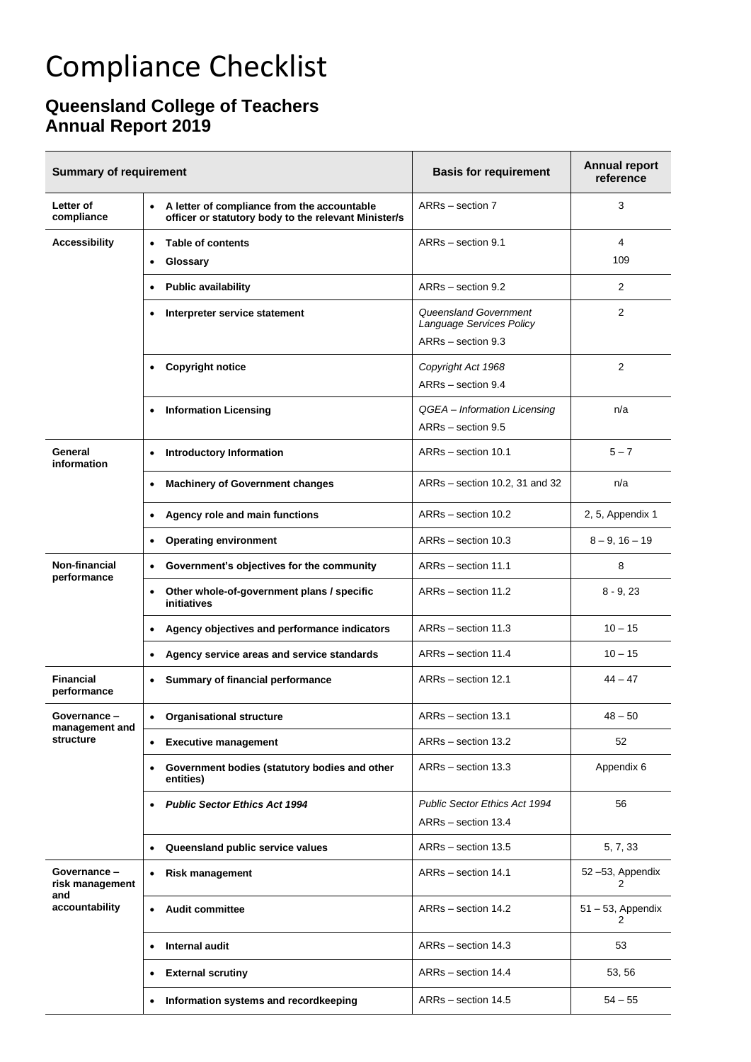## Compliance Checklist

## **Queensland College of Teachers Annual Report 2019**

| <b>Summary of requirement</b>                            |                                                                                                                  | <b>Basis for requirement</b>                         | <b>Annual report</b><br>reference |
|----------------------------------------------------------|------------------------------------------------------------------------------------------------------------------|------------------------------------------------------|-----------------------------------|
| Letter of<br>compliance                                  | A letter of compliance from the accountable<br>$\bullet$<br>officer or statutory body to the relevant Minister/s | ARRs - section 7                                     | 3                                 |
| <b>Accessibility</b>                                     | <b>Table of contents</b><br>$\bullet$<br>Glossary<br>٠                                                           | ARRs - section 9.1                                   | 4<br>109                          |
|                                                          | <b>Public availability</b><br>$\bullet$                                                                          | ARRs - section 9.2                                   | 2                                 |
|                                                          | Interpreter service statement<br>٠                                                                               | Queensland Government<br>Language Services Policy    | $\overline{2}$                    |
|                                                          |                                                                                                                  | ARRs - section 9.3                                   |                                   |
|                                                          | <b>Copyright notice</b><br>$\bullet$                                                                             | Copyright Act 1968<br>ARRs - section 9.4             | 2                                 |
|                                                          | • Information Licensing                                                                                          | QGEA - Information Licensing<br>ARRs - section 9.5   | n/a                               |
| General<br>information                                   | <b>Introductory Information</b>                                                                                  | ARRs - section 10.1                                  | $5 - 7$                           |
|                                                          | <b>Machinery of Government changes</b><br>$\bullet$                                                              | ARRs - section 10.2, 31 and 32                       | n/a                               |
|                                                          | Agency role and main functions<br>$\bullet$                                                                      | ARRs - section 10.2                                  | 2, 5, Appendix 1                  |
|                                                          | <b>Operating environment</b><br>$\bullet$                                                                        | ARRs - section 10.3                                  | $8 - 9$ , $16 - 19$               |
| Non-financial<br>performance                             | Government's objectives for the community<br>$\bullet$                                                           | ARRs - section 11.1                                  | 8                                 |
|                                                          | Other whole-of-government plans / specific<br>$\bullet$<br>initiatives                                           | ARRs - section 11.2                                  | $8 - 9, 23$                       |
|                                                          | Agency objectives and performance indicators                                                                     | ARRs - section 11.3                                  | $10 - 15$                         |
|                                                          | Agency service areas and service standards<br>$\bullet$                                                          | ARRs - section 11.4                                  | $10 - 15$                         |
| <b>Financial</b><br>performance                          | Summary of financial performance<br>٠                                                                            | ARRs - section 12.1                                  | $44 - 47$                         |
| Governance –<br>management and<br>structure              | <b>Organisational structure</b>                                                                                  | ARRs - section 13.1                                  | $48 - 50$                         |
|                                                          | <b>Executive management</b><br>$\bullet$                                                                         | ARRs - section 13.2                                  | 52                                |
|                                                          | Government bodies (statutory bodies and other<br>$\bullet$<br>entities)                                          | ARRs - section 13.3                                  | Appendix 6                        |
|                                                          | <b>Public Sector Ethics Act 1994</b><br>٠                                                                        | Public Sector Ethics Act 1994<br>ARRs - section 13.4 | 56                                |
|                                                          | Queensland public service values<br>$\bullet$                                                                    | ARRs - section 13.5                                  | 5, 7, 33                          |
| Governance -<br>risk management<br>and<br>accountability | <b>Risk management</b><br>$\bullet$                                                                              | ARRs - section 14.1                                  | 52-53, Appendix<br>2              |
|                                                          | <b>Audit committee</b><br>$\bullet$                                                                              | ARRs - section 14.2                                  | $51 - 53$ , Appendix<br>2         |
|                                                          | Internal audit                                                                                                   | ARRs - section 14.3                                  | 53                                |
|                                                          | <b>External scrutiny</b>                                                                                         | ARRs - section 14.4                                  | 53, 56                            |
|                                                          | Information systems and recordkeeping<br>$\bullet$                                                               | ARRs - section 14.5                                  | $54 - 55$                         |